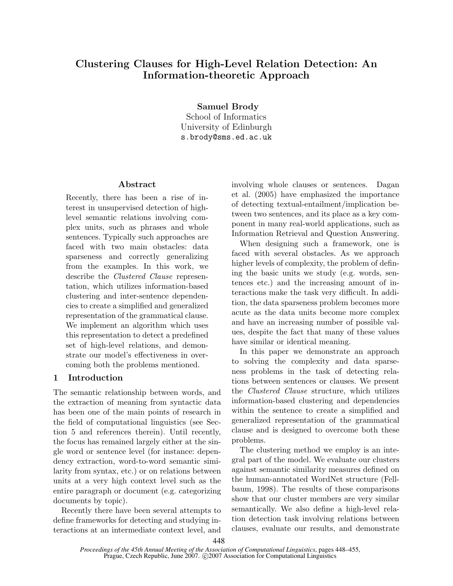# Clustering Clauses for High-Level Relation Detection: An Information-theoretic Approach

Samuel Brody

School of Informatics University of Edinburgh s.brody@sms.ed.ac.uk

# Abstract

Recently, there has been a rise of interest in unsupervised detection of highlevel semantic relations involving complex units, such as phrases and whole sentences. Typically such approaches are faced with two main obstacles: data sparseness and correctly generalizing from the examples. In this work, we describe the Clustered Clause representation, which utilizes information-based clustering and inter-sentence dependencies to create a simplified and generalized representation of the grammatical clause. We implement an algorithm which uses this representation to detect a predefined set of high-level relations, and demonstrate our model's effectiveness in overcoming both the problems mentioned.

## 1 Introduction

The semantic relationship between words, and the extraction of meaning from syntactic data has been one of the main points of research in the field of computational linguistics (see Section 5 and references therein). Until recently, the focus has remained largely either at the single word or sentence level (for instance: dependency extraction, word-to-word semantic similarity from syntax, etc.) or on relations between units at a very high context level such as the entire paragraph or document (e.g. categorizing documents by topic).

Recently there have been several attempts to define frameworks for detecting and studying interactions at an intermediate context level, and involving whole clauses or sentences. Dagan et al. (2005) have emphasized the importance of detecting textual-entailment/implication between two sentences, and its place as a key component in many real-world applications, such as Information Retrieval and Question Answering.

When designing such a framework, one is faced with several obstacles. As we approach higher levels of complexity, the problem of defining the basic units we study (e.g. words, sentences etc.) and the increasing amount of interactions make the task very difficult. In addition, the data sparseness problem becomes more acute as the data units become more complex and have an increasing number of possible values, despite the fact that many of these values have similar or identical meaning.

In this paper we demonstrate an approach to solving the complexity and data sparseness problems in the task of detecting relations between sentences or clauses. We present the Clustered Clause structure, which utilizes information-based clustering and dependencies within the sentence to create a simplified and generalized representation of the grammatical clause and is designed to overcome both these problems.

The clustering method we employ is an integral part of the model. We evaluate our clusters against semantic similarity measures defined on the human-annotated WordNet structure (Fellbaum, 1998). The results of these comparisons show that our cluster members are very similar semantically. We also define a high-level relation detection task involving relations between clauses, evaluate our results, and demonstrate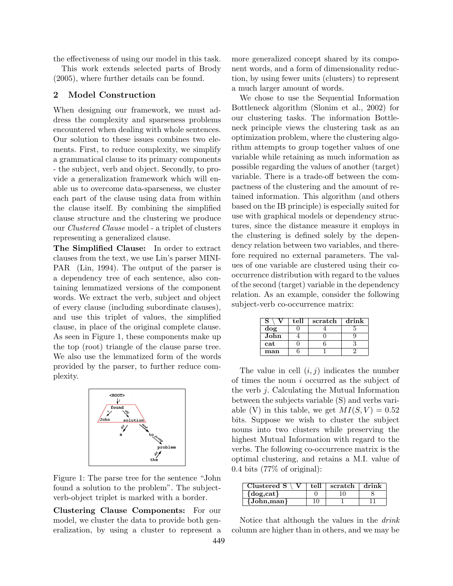the effectiveness of using our model in this task. This work extends selected parts of Brody (2005), where further details can be found.

## 2 Model Construction

When designing our framework, we must address the complexity and sparseness problems encountered when dealing with whole sentences. Our solution to these issues combines two elements. First, to reduce complexity, we simplify a grammatical clause to its primary components - the subject, verb and object. Secondly, to provide a generalization framework which will enable us to overcome data-sparseness, we cluster each part of the clause using data from within the clause itself. By combining the simplified clause structure and the clustering we produce our Clustered Clause model - a triplet of clusters representing a generalized clause.

The Simplified Clause: In order to extract clauses from the text, we use Lin's parser MINI-PAR (Lin, 1994). The output of the parser is a dependency tree of each sentence, also containing lemmatized versions of the component words. We extract the verb, subject and object of every clause (including subordinate clauses), and use this triplet of values, the simplified clause, in place of the original complete clause. As seen in Figure 1, these components make up the top (root) triangle of the clause parse tree. We also use the lemmatized form of the words provided by the parser, to further reduce complexity.



Figure 1: The parse tree for the sentence "John found a solution to the problem". The subjectverb-object triplet is marked with a border.

Clustering Clause Components: For our model, we cluster the data to provide both generalization, by using a cluster to represent a more generalized concept shared by its component words, and a form of dimensionality reduction, by using fewer units (clusters) to represent a much larger amount of words.

We chose to use the Sequential Information Bottleneck algorithm (Slonim et al., 2002) for our clustering tasks. The information Bottleneck principle views the clustering task as an optimization problem, where the clustering algorithm attempts to group together values of one variable while retaining as much information as possible regarding the values of another (target) variable. There is a trade-off between the compactness of the clustering and the amount of retained information. This algorithm (and others based on the IB principle) is especially suited for use with graphical models or dependency structures, since the distance measure it employs in the clustering is defined solely by the dependency relation between two variables, and therefore required no external parameters. The values of one variable are clustered using their cooccurrence distribution with regard to the values of the second (target) variable in the dependency relation. As an example, consider the following subject-verb co-occurrence matrix:

| s    | tell | scratch | drink |
|------|------|---------|-------|
| dog  |      |         |       |
| John |      |         |       |
| cat  |      |         |       |
| man  |      |         |       |

The value in cell  $(i, j)$  indicates the number of times the noun i occurred as the subject of the verb j. Calculating the Mutual Information between the subjects variable (S) and verbs variable (V) in this table, we get  $MI(S, V) = 0.52$ bits. Suppose we wish to cluster the subject nouns into two clusters while preserving the highest Mutual Information with regard to the verbs. The following co-occurrence matrix is the optimal clustering, and retains a M.I. value of 0.4 bits (77% of original):

| Clustered $S \setminus V$ | tell | scratch $\vert$ drink |  |
|---------------------------|------|-----------------------|--|
| $\{dog, cat\}$            |      |                       |  |
| {John,man}                |      |                       |  |

Notice that although the values in the drink column are higher than in others, and we may be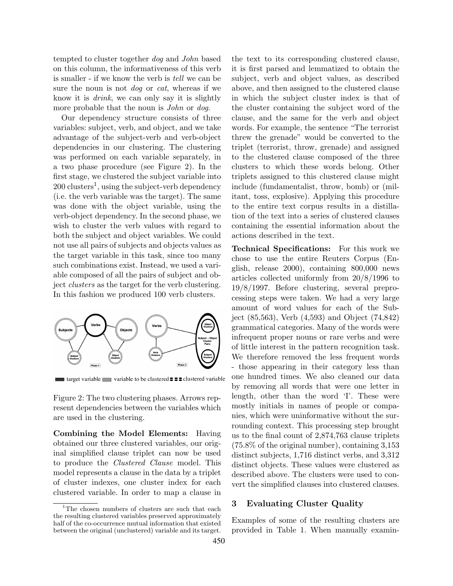tempted to cluster together dog and John based on this column, the informativeness of this verb is smaller - if we know the verb is tell we can be sure the noun is not *dog* or *cat*, whereas if we know it is drink, we can only say it is slightly more probable that the noun is *John* or dog.

Our dependency structure consists of three variables: subject, verb, and object, and we take advantage of the subject-verb and verb-object dependencies in our clustering. The clustering was performed on each variable separately, in a two phase procedure (see Figure 2). In the first stage, we clustered the subject variable into  $200 \text{ clusters}^1$ , using the subject-verb dependency (i.e. the verb variable was the target). The same was done with the object variable, using the verb-object dependency. In the second phase, we wish to cluster the verb values with regard to both the subject and object variables. We could not use all pairs of subjects and objects values as the target variable in this task, since too many such combinations exist. Instead, we used a variable composed of all the pairs of subject and object clusters as the target for the verb clustering. In this fashion we produced 100 verb clusters.



**■ target variable** variable to be clustered **= = =** clustered variable

Figure 2: The two clustering phases. Arrows represent dependencies between the variables which are used in the clustering.

Combining the Model Elements: Having obtained our three clustered variables, our original simplified clause triplet can now be used to produce the Clustered Clause model. This model represents a clause in the data by a triplet of cluster indexes, one cluster index for each clustered variable. In order to map a clause in

the text to its corresponding clustered clause, it is first parsed and lemmatized to obtain the subject, verb and object values, as described above, and then assigned to the clustered clause in which the subject cluster index is that of the cluster containing the subject word of the clause, and the same for the verb and object words. For example, the sentence "The terrorist threw the grenade" would be converted to the triplet (terrorist, throw, grenade) and assigned to the clustered clause composed of the three clusters to which these words belong. Other triplets assigned to this clustered clause might include (fundamentalist, throw, bomb) or (militant, toss, explosive). Applying this procedure to the entire text corpus results in a distillation of the text into a series of clustered clauses containing the essential information about the actions described in the text.

Technical Specifications: For this work we chose to use the entire Reuters Corpus (English, release 2000), containing 800,000 news articles collected uniformly from 20/8/1996 to 19/8/1997. Before clustering, several preprocessing steps were taken. We had a very large amount of word values for each of the Subject (85,563), Verb (4,593) and Object (74,842) grammatical categories. Many of the words were infrequent proper nouns or rare verbs and were of little interest in the pattern recognition task. We therefore removed the less frequent words - those appearing in their category less than one hundred times. We also cleaned our data by removing all words that were one letter in length, other than the word 'I'. These were mostly initials in names of people or companies, which were uninformative without the surrounding context. This processing step brought us to the final count of 2,874,763 clause triplets (75.8% of the original number), containing 3,153 distinct subjects, 1,716 distinct verbs, and 3,312 distinct objects. These values were clustered as described above. The clusters were used to convert the simplified clauses into clustered clauses.

#### 3 Evaluating Cluster Quality

Examples of some of the resulting clusters are provided in Table 1. When manually examin-

 $1$ The chosen numbers of clusters are such that each the resulting clustered variables preserved approximately half of the co-occurrence mutual information that existed between the original (unclustered) variable and its target.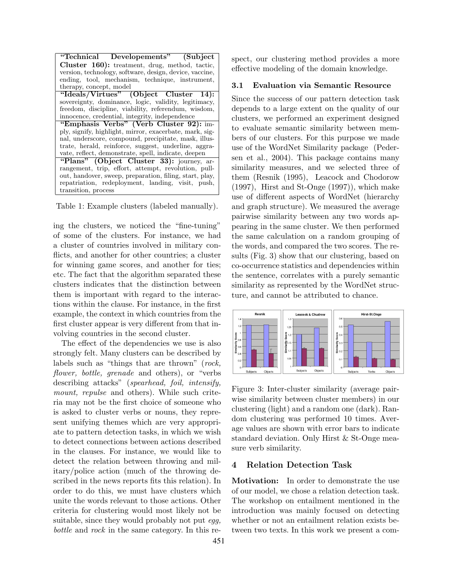| "Technical Developements" (Subject                      |
|---------------------------------------------------------|
| Cluster 160): treatment, drug, method, tactic,          |
| version, technology, software, design, device, vaccine, |
| ending, tool, mechanism, technique, instrument,         |
| therapy, concept, model                                 |
| "Ideals/Virtues" (Object Cluster 14):                   |
| sovereignty, dominance, logic, validity, legitimacy,    |
| freedom, discipline, viability, referendum, wisdom,     |
| innocence, credential, integrity, independence          |
| "Emphasis Verbs" (Verb Cluster 92): im-                 |
| ply, signify, highlight, mirror, exacerbate, mark, sig- |
| nal, underscore, compound, precipitate, mask, illus-    |
| trate, herald, reinforce, suggest, underline, aggra-    |
| vate, reflect, demonstrate, spell, indicate, deepen     |
| "Plans" (Object Cluster 33): journey, ar-               |
| rangement, trip, effort, attempt, revolution, pull-     |
| out, handover, sweep, preparation, filing, start, play, |
| repatriation, redeployment, landing, visit, push,       |
| transition, process                                     |

Table 1: Example clusters (labeled manually).

ing the clusters, we noticed the "fine-tuning" of some of the clusters. For instance, we had a cluster of countries involved in military conflicts, and another for other countries; a cluster for winning game scores, and another for ties; etc. The fact that the algorithm separated these clusters indicates that the distinction between them is important with regard to the interactions within the clause. For instance, in the first example, the context in which countries from the first cluster appear is very different from that involving countries in the second cluster.

The effect of the dependencies we use is also strongly felt. Many clusters can be described by labels such as "things that are thrown" (rock, flower, bottle, grenade and others), or "verbs describing attacks" (*spearhead, foil, intensify*, mount, repulse and others). While such criteria may not be the first choice of someone who is asked to cluster verbs or nouns, they represent unifying themes which are very appropriate to pattern detection tasks, in which we wish to detect connections between actions described in the clauses. For instance, we would like to detect the relation between throwing and military/police action (much of the throwing described in the news reports fits this relation). In order to do this, we must have clusters which unite the words relevant to those actions. Other criteria for clustering would most likely not be suitable, since they would probably not put  $eqq$ , bottle and rock in the same category. In this respect, our clustering method provides a more effective modeling of the domain knowledge.

#### 3.1 Evaluation via Semantic Resource

Since the success of our pattern detection task depends to a large extent on the quality of our clusters, we performed an experiment designed to evaluate semantic similarity between members of our clusters. For this purpose we made use of the WordNet Similarity package (Pedersen et al., 2004). This package contains many similarity measures, and we selected three of them (Resnik (1995), Leacock and Chodorow (1997), Hirst and St-Onge (1997)), which make use of different aspects of WordNet (hierarchy and graph structure). We measured the average pairwise similarity between any two words appearing in the same cluster. We then performed the same calculation on a random grouping of the words, and compared the two scores. The results (Fig. 3) show that our clustering, based on co-occurrence statistics and dependencies within the sentence, correlates with a purely semantic similarity as represented by the WordNet structure, and cannot be attributed to chance.



Figure 3: Inter-cluster similarity (average pairwise similarity between cluster members) in our clustering (light) and a random one (dark). Random clustering was performed 10 times. Average values are shown with error bars to indicate standard deviation. Only Hirst & St-Onge measure verb similarity.

#### 4 Relation Detection Task

Motivation: In order to demonstrate the use of our model, we chose a relation detection task. The workshop on entailment mentioned in the introduction was mainly focused on detecting whether or not an entailment relation exists between two texts. In this work we present a com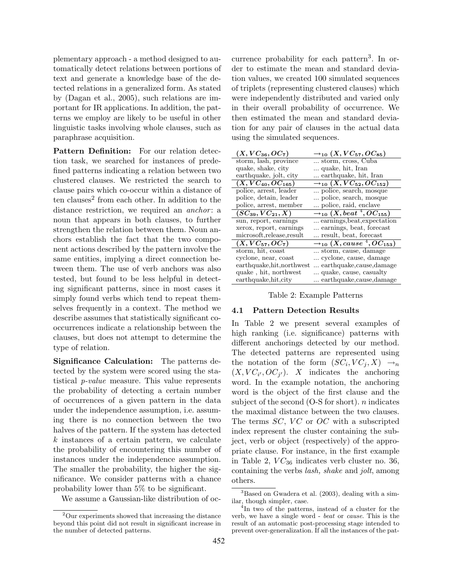plementary approach - a method designed to automatically detect relations between portions of text and generate a knowledge base of the detected relations in a generalized form. As stated by (Dagan et al., 2005), such relations are important for IR applications. In addition, the patterns we employ are likely to be useful in other linguistic tasks involving whole clauses, such as paraphrase acquisition.

Pattern Definition: For our relation detection task, we searched for instances of predefined patterns indicating a relation between two clustered clauses. We restricted the search to clause pairs which co-occur within a distance of ten clauses<sup>2</sup> from each other. In addition to the distance restriction, we required an *anchor*: a noun that appears in both clauses, to further strengthen the relation between them. Noun anchors establish the fact that the two component actions described by the pattern involve the same entities, implying a direct connection between them. The use of verb anchors was also tested, but found to be less helpful in detecting significant patterns, since in most cases it simply found verbs which tend to repeat themselves frequently in a context. The method we describe assumes that statistically significant cooccurrences indicate a relationship between the clauses, but does not attempt to determine the type of relation.

Significance Calculation: The patterns detected by the system were scored using the statistical p-value measure. This value represents the probability of detecting a certain number of occurrences of a given pattern in the data under the independence assumption, i.e. assuming there is no connection between the two halves of the pattern. If the system has detected k instances of a certain pattern, we calculate the probability of encountering this number of instances under the independence assumption. The smaller the probability, the higher the significance. We consider patterns with a chance probability lower than 5% to be significant.

We assume a Gaussian-like distribution of oc-

currence probability for each pattern<sup>3</sup>. In order to estimate the mean and standard deviation values, we created 100 simulated sequences of triplets (representing clustered clauses) which were independently distributed and varied only in their overall probability of occurrence. We then estimated the mean and standard deviation for any pair of clauses in the actual data using the simulated sequences.

| $(X, VC_{36}, OC_7)$       | $\rightarrow_{10} (X, VC_{57}, OC_{85})$      |
|----------------------------|-----------------------------------------------|
| storm, lash, province      | storm, cross, Cuba                            |
| quake, shake, city         | quake, hit, Iran                              |
| earthquake, jolt, city     | earthquake, hit, Iran                         |
| $(X, VC_{40}, OC_{165})$   | $\rightarrow$ 10 $(X,VC_{52},OC_{152})$       |
| police, arrest, leader     | police, search, mosque                        |
| police, detain, leader     | police, search, mosque                        |
| police, arrest, member     | police, raid, enclave                         |
| $(SC_{39}, VC_{21}, X)$    | $\rightarrow_{10} (X, beat\ ^{4},OC_{155})$   |
| sun, report, earnings      | earnings, beat, expectation                   |
| xerox, report, earnings    | earnings, beat, forecast                      |
| microsoft, release, result | result, beat, forecast                        |
| $(X, VC_{57}, OC_7)$       | $\rightarrow$ 10 $(X, cause\ ^{4}, OC_{153})$ |
| storm, hit, coast          | storm, cause, damage                          |
| cyclone, near, coast       | cyclone, cause, damage                        |
| earthquake, hit, northwest | earthquake,cause,damage                       |
| quake, hit, northwest      | quake, cause, casualty                        |
| earthquake, hit, city      | earthquake,cause,damage                       |

Table 2: Example Patterns

## 4.1 Pattern Detection Results

In Table 2 we present several examples of high ranking (i.e. significance) patterns with different anchorings detected by our method. The detected patterns are represented using the notation of the form  $(SC_i, VC_j, X) \rightarrow_n$  $(X, VC_{i'}, OC_{j'})$ . X indicates the anchoring word. In the example notation, the anchoring word is the object of the first clause and the subject of the second  $(O-S$  for short). *n* indicates the maximal distance between the two clauses. The terms  $SC$ ,  $VC$  or  $OC$  with a subscripted index represent the cluster containing the subject, verb or object (respectively) of the appropriate clause. For instance, in the first example in Table 2,  $VC_{36}$  indicates verb cluster no. 36, containing the verbs lash, shake and jolt, among others.

<sup>2</sup>Our experiments showed that increasing the distance beyond this point did not result in significant increase in the number of detected patterns.

 $3B$ ased on Gwadera et al. (2003), dealing with a similar, though simpler, case.

<sup>4</sup> In two of the patterns, instead of a cluster for the verb, we have a single word - beat or cause. This is the result of an automatic post-processing stage intended to prevent over-generalization. If all the instances of the pat-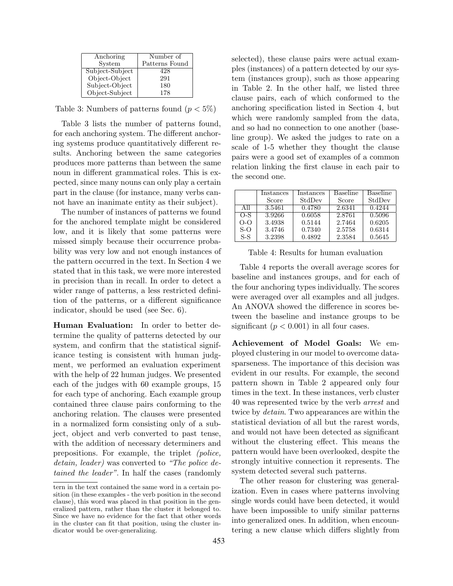| Anchoring       | Number of      |  |
|-----------------|----------------|--|
| System          | Patterns Found |  |
| Subject-Subject | 428            |  |
| Object-Object   | 291            |  |
| Subject-Object  | 180            |  |
| Object-Subject  | 178            |  |

Table 3: Numbers of patterns found  $(p < 5\%)$ 

Table 3 lists the number of patterns found, for each anchoring system. The different anchoring systems produce quantitatively different results. Anchoring between the same categories produces more patterns than between the same noun in different grammatical roles. This is expected, since many nouns can only play a certain part in the clause (for instance, many verbs cannot have an inanimate entity as their subject).

The number of instances of patterns we found for the anchored template might be considered low, and it is likely that some patterns were missed simply because their occurrence probability was very low and not enough instances of the pattern occurred in the text. In Section 4 we stated that in this task, we were more interested in precision than in recall. In order to detect a wider range of patterns, a less restricted definition of the patterns, or a different significance indicator, should be used (see Sec. 6).

Human Evaluation: In order to better determine the quality of patterns detected by our system, and confirm that the statistical significance testing is consistent with human judgment, we performed an evaluation experiment with the help of 22 human judges. We presented each of the judges with 60 example groups, 15 for each type of anchoring. Each example group contained three clause pairs conforming to the anchoring relation. The clauses were presented in a normalized form consisting only of a subject, object and verb converted to past tense, with the addition of necessary determiners and prepositions. For example, the triplet (police, detain, leader) was converted to "The police detained the leader". In half the cases (randomly

selected), these clause pairs were actual examples (instances) of a pattern detected by our system (instances group), such as those appearing in Table 2. In the other half, we listed three clause pairs, each of which conformed to the anchoring specification listed in Section 4, but which were randomly sampled from the data, and so had no connection to one another (baseline group). We asked the judges to rate on a scale of 1-5 whether they thought the clause pairs were a good set of examples of a common relation linking the first clause in each pair to the second one.

|       | Instances | Instances | <b>Baseline</b> | Baseline |
|-------|-----------|-----------|-----------------|----------|
|       | Score     | StdDev    | Score           | StdDev   |
| All   | 3.5461    | 0.4780    | 2.6341          | 0.4244   |
| $O-S$ | 3.9266    | 0.6058    | 2.8761          | 0.5096   |
| $O-O$ | 3.4938    | 0.5144    | 2.7464          | 0.6205   |
| $S-O$ | 3.4746    | 0.7340    | 2.5758          | 0.6314   |
| $S-S$ | 3.2398    | 0.4892    | 2.3584          | 0.5645   |

Table 4: Results for human evaluation

Table 4 reports the overall average scores for baseline and instances groups, and for each of the four anchoring types individually. The scores were averaged over all examples and all judges. An ANOVA showed the difference in scores between the baseline and instance groups to be significant ( $p < 0.001$ ) in all four cases.

Achievement of Model Goals: We employed clustering in our model to overcome datasparseness. The importance of this decision was evident in our results. For example, the second pattern shown in Table 2 appeared only four times in the text. In these instances, verb cluster 40 was represented twice by the verb arrest and twice by detain. Two appearances are within the statistical deviation of all but the rarest words, and would not have been detected as significant without the clustering effect. This means the pattern would have been overlooked, despite the strongly intuitive connection it represents. The system detected several such patterns.

The other reason for clustering was generalization. Even in cases where patterns involving single words could have been detected, it would have been impossible to unify similar patterns into generalized ones. In addition, when encountering a new clause which differs slightly from

tern in the text contained the same word in a certain position (in these examples - the verb position in the second clause), this word was placed in that position in the generalized pattern, rather than the cluster it belonged to. Since we have no evidence for the fact that other words in the cluster can fit that position, using the cluster indicator would be over-generalizing.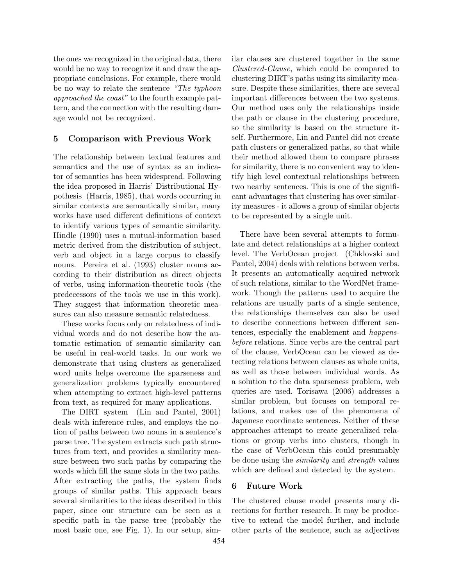the ones we recognized in the original data, there would be no way to recognize it and draw the appropriate conclusions. For example, there would be no way to relate the sentence "The typhoon approached the coast" to the fourth example pattern, and the connection with the resulting damage would not be recognized.

# 5 Comparison with Previous Work

The relationship between textual features and semantics and the use of syntax as an indicator of semantics has been widespread. Following the idea proposed in Harris' Distributional Hypothesis (Harris, 1985), that words occurring in similar contexts are semantically similar, many works have used different definitions of context to identify various types of semantic similarity. Hindle (1990) uses a mutual-information based metric derived from the distribution of subject, verb and object in a large corpus to classify nouns. Pereira et al. (1993) cluster nouns according to their distribution as direct objects of verbs, using information-theoretic tools (the predecessors of the tools we use in this work). They suggest that information theoretic measures can also measure semantic relatedness.

These works focus only on relatedness of individual words and do not describe how the automatic estimation of semantic similarity can be useful in real-world tasks. In our work we demonstrate that using clusters as generalized word units helps overcome the sparseness and generalization problems typically encountered when attempting to extract high-level patterns from text, as required for many applications.

The DIRT system (Lin and Pantel, 2001) deals with inference rules, and employs the notion of paths between two nouns in a sentence's parse tree. The system extracts such path structures from text, and provides a similarity measure between two such paths by comparing the words which fill the same slots in the two paths. After extracting the paths, the system finds groups of similar paths. This approach bears several similarities to the ideas described in this paper, since our structure can be seen as a specific path in the parse tree (probably the most basic one, see Fig. 1). In our setup, similar clauses are clustered together in the same Clustered-Clause, which could be compared to clustering DIRT's paths using its similarity measure. Despite these similarities, there are several important differences between the two systems. Our method uses only the relationships inside the path or clause in the clustering procedure, so the similarity is based on the structure itself. Furthermore, Lin and Pantel did not create path clusters or generalized paths, so that while their method allowed them to compare phrases for similarity, there is no convenient way to identify high level contextual relationships between two nearby sentences. This is one of the significant advantages that clustering has over similarity measures - it allows a group of similar objects to be represented by a single unit.

There have been several attempts to formulate and detect relationships at a higher context level. The VerbOcean project (Chklovski and Pantel, 2004) deals with relations between verbs. It presents an automatically acquired network of such relations, similar to the WordNet framework. Though the patterns used to acquire the relations are usually parts of a single sentence, the relationships themselves can also be used to describe connections between different sentences, especially the enablement and happensbefore relations. Since verbs are the central part of the clause, VerbOcean can be viewed as detecting relations between clauses as whole units, as well as those between individual words. As a solution to the data sparseness problem, web queries are used. Torisawa (2006) addresses a similar problem, but focuses on temporal relations, and makes use of the phenomena of Japanese coordinate sentences. Neither of these approaches attempt to create generalized relations or group verbs into clusters, though in the case of VerbOcean this could presumably be done using the similarity and strength values which are defined and detected by the system.

## 6 Future Work

The clustered clause model presents many directions for further research. It may be productive to extend the model further, and include other parts of the sentence, such as adjectives